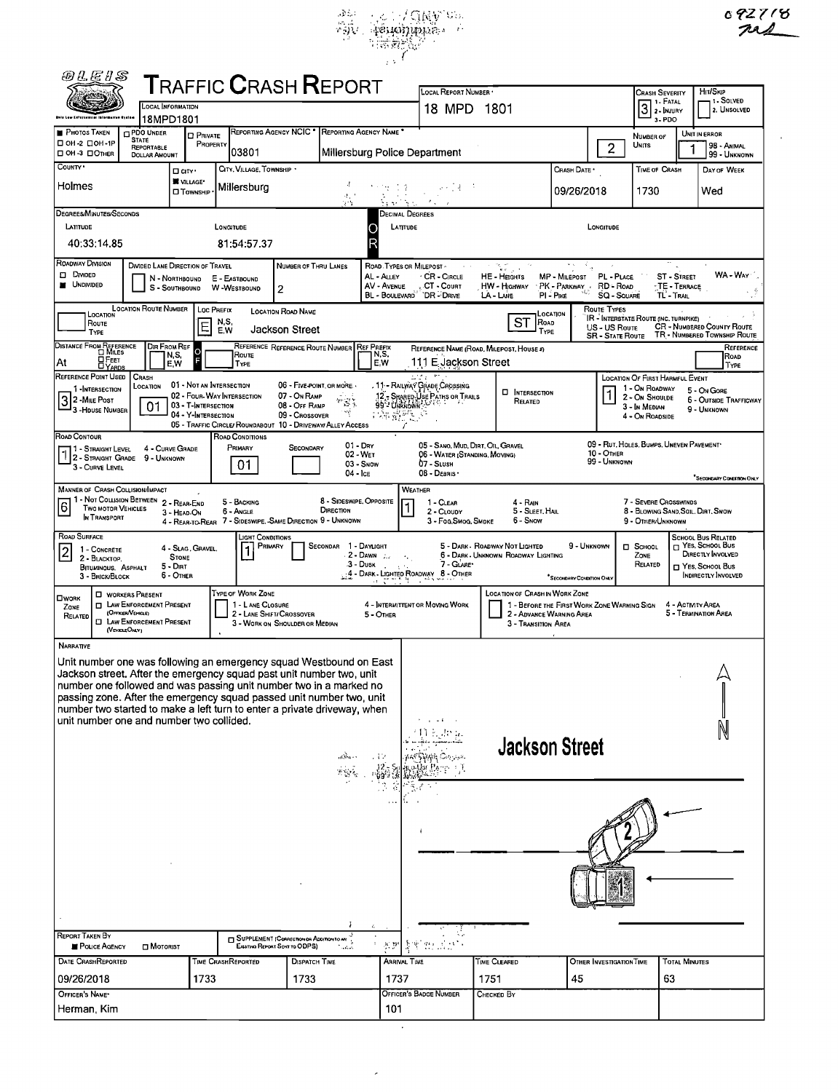



| <i>@LE S</i>                                                                                                                               |                                             |                                            | ${\sf T}$ RAFFIC ${\sf C}$ RASH ${\sf R}$ EPORT                         |                                           |                                             |                                    | LOCAL REPORT NUMBER .                                        |                                                                                      |                               |                                          | <b>CRASH SEVERITY</b>                                   |                                      | HIT/SKIP                                                          |
|--------------------------------------------------------------------------------------------------------------------------------------------|---------------------------------------------|--------------------------------------------|-------------------------------------------------------------------------|-------------------------------------------|---------------------------------------------|------------------------------------|--------------------------------------------------------------|--------------------------------------------------------------------------------------|-------------------------------|------------------------------------------|---------------------------------------------------------|--------------------------------------|-------------------------------------------------------------------|
| sela Law Enforcement Information Tystae                                                                                                    | LOCAL INFORMATION                           |                                            |                                                                         |                                           |                                             |                                    | 18 MPD 1801                                                  |                                                                                      |                               |                                          | 1 - FATAL<br>$3$ 2- INJURY                              |                                      | 1 - SOLVED<br>12. Unsolved                                        |
| <b>PHOTOS TAKEN</b>                                                                                                                        | 18MPD1801<br>PDO UNDER                      | <b>D</b> PRIVATE                           | REPORTING AGENCY NCIC <sup>.</sup>                                      |                                           | <b>REPORTING AGENCY NAME</b>                |                                    |                                                              |                                                                                      |                               |                                          | $3 - PDO$                                               |                                      | UNIT IN ERROR                                                     |
| □ 0Н-2 □ 0Н-1Р<br>□ OH-3 □ ОTHER                                                                                                           | STATE<br>REPORTABLE<br><b>DOLLAR AMOUNT</b> | PROPERTY                                   | 03801                                                                   |                                           |                                             |                                    | Millersburg Police Department                                |                                                                                      |                               | $\overline{2}$                           | NUMBER OF<br><b>UNITS</b>                               |                                      | 98 - ANIMAL<br>99 - Unknown                                       |
| COUNTY .                                                                                                                                   |                                             | Dar <sup>.</sup>                           | CITY, VILLAGE, TOWNSHIP                                                 |                                           |                                             |                                    |                                                              |                                                                                      | CRASH DATE *                  |                                          | TIME OF CRASH                                           |                                      | DAY OF WEEK                                                       |
| Holmes                                                                                                                                     |                                             | <b>NULLAGE</b><br><b>D</b> Township        | Millersburg                                                             |                                           |                                             | -17                                | 하다로                                                          |                                                                                      | 09/26/2018                    |                                          | 1730                                                    |                                      | Wed                                                               |
|                                                                                                                                            |                                             |                                            |                                                                         |                                           | 4. T<br>ъÀ                                  |                                    |                                                              |                                                                                      |                               |                                          |                                                         |                                      |                                                                   |
| DEGREES/MINUTES/SECONDS<br>LATITUDE                                                                                                        |                                             |                                            | LONGITUDE                                                               |                                           |                                             |                                    | Decimal Degrees<br>LATITUDE                                  |                                                                                      |                               | LONGITUDE                                |                                                         |                                      |                                                                   |
| 40:33:14.85                                                                                                                                |                                             |                                            | 81:54:57.37                                                             |                                           |                                             |                                    |                                                              |                                                                                      |                               |                                          |                                                         |                                      |                                                                   |
| ROADWAY DIVISION                                                                                                                           | DIVIDED LANE DIRECTION OF TRAVEL            |                                            |                                                                         | NUMBER OF THRU LANES                      |                                             |                                    | ROAD TYPES OR MILEPOST -                                     | n.c                                                                                  |                               |                                          |                                                         |                                      |                                                                   |
| <b>DIVIDED</b><br><b>N</b> UNDIVIDED                                                                                                       | N - NORTHBOUND                              |                                            | E - EASTBOUND                                                           |                                           |                                             | AL - ALLEY<br>AV - AVENUE          | <b>CR - CIRCLE</b><br>CT - Count                             | HE - HEGHTS<br><b>HW - HIGHWAY</b>                                                   | MP - MILEPOST<br>PK - PARKWAY | PL - PLACE<br>RD - Road                  |                                                         | <b>ST - STREET</b><br>- TE - TERRACE | WA - WAY                                                          |
|                                                                                                                                            |                                             |                                            | S - SOUTHBOUND W - WESTBOUND                                            | 2                                         |                                             |                                    | BL - BOULEVARD DR - DRIVE                                    | LA - LANE                                                                            | PI-PIKE                       | <b>SQ - SOUARE</b>                       | TL - Trail                                              |                                      |                                                                   |
| LOCATION<br>ROUTE                                                                                                                          | LOCATION ROUTE NUMBER                       | Loc PREFIX                                 | N,S.                                                                    | LOCATION ROAD NAME                        |                                             |                                    |                                                              | ST<br>Road                                                                           | Location                      | ROUTE TYPES                              | IR - INTERSTATE ROUTE (INC. TURNPIKE)                   |                                      |                                                                   |
| TYPE                                                                                                                                       |                                             | E                                          | E.W                                                                     | Jackson Street                            |                                             |                                    |                                                              | TYPE                                                                                 |                               | US - US Route<br><b>SR - STATE ROUTE</b> |                                                         |                                      | <b>CR - NUMBERED COUNTY ROUTE</b><br>TR - NUMBERED TOWNSHIP ROUTE |
| DISTANCE FROM REFERENCE<br>OFEET                                                                                                           | DIR FROM REF<br>N,S,                        |                                            | ROUTE                                                                   |                                           | REFERENCE REFERENCE ROUTE NUMBER REF PREFIX | N,S,                               |                                                              | REFERENCE NAME (ROAD, MILEPOST, HOUSE 4)                                             |                               |                                          |                                                         |                                      | REFERENCE<br>ROAD                                                 |
| At<br><b>DYARDS</b><br>REFERENCE POINT USED                                                                                                | E,W<br>CRASH                                |                                            | TYPE                                                                    |                                           |                                             | E.W                                | 111 E Jackson Street                                         |                                                                                      |                               |                                          | LOCATION OF FIRST HARMFUL EVENT                         |                                      | TYPE                                                              |
| 1-INTERSECTION                                                                                                                             | LOCATION                                    |                                            | 01 - Not an Intersection<br>02 - FOUR-WAY INTERSECTION                  | 06 - FIVE POINT, OR MORE.<br>07 - On RAMP |                                             |                                    | . 11 - Railway Grade Crossing                                | <b>D</b> INTERSECTION                                                                |                               |                                          | 1 - On ROADWAY<br>2 - ON SHOULDE                        |                                      | 5 - On GORE                                                       |
| 2 - MILE POST<br><sup>1</sup> 3 -House Number                                                                                              | 01                                          | 03 - T-INTERSECTION<br>04 - Y-INTERSECTION |                                                                         | 08 - OFF RAMP<br>09 - Crossover           | "3;<br>ખ્યું                                | <b>PARTIES</b>                     | 12 - Shanep Úse Paths of Trails<br>99 - Unkiown              | RELATED                                                                              |                               |                                          | 3 - In Median<br>4 - On ROADSIDE                        |                                      | <b>6 - OUTSIDE TRAFFICWAY</b><br>9 - UNKNOWN                      |
| ROAD CONTOUR                                                                                                                               |                                             |                                            | 05 - TRAFFIC CIRCLE/ ROUNDABOUT 10 - DRIVEWAY/ ALLEY ACCESS             |                                           |                                             |                                    | Í                                                            |                                                                                      |                               |                                          |                                                         |                                      |                                                                   |
| 1 - STRAIGHT LEVEL                                                                                                                         | 4 - CURVE GRADE                             |                                            | ROAD CONDITIONS<br>PRIMARY                                              | SECONDARY                                 | $01 - \text{Dry}$<br>02 - WET               |                                    | 05 - SANO, MUD, DIRT, OIL, GRAVEL                            |                                                                                      |                               | $10 -$ OTHER                             | 09 - RUT, HOLES, BUMPS, UNEVEN PAVEMENT*                |                                      |                                                                   |
| 12 - STRAIGHT GRADE 9 - UNKNOWN<br>3 - CURVE LEVEL                                                                                         |                                             |                                            | 01                                                                      |                                           | $04 - \text{lc}$                            | 03 - Snow                          | 06 - WATER (STANDING, MOVING)<br>07 - SLUSH<br>08 - DEBRIS . |                                                                                      |                               | 99 - Unknown                             |                                                         |                                      |                                                                   |
| MANNER OF CRASH COLLISION/IMPACT                                                                                                           |                                             |                                            |                                                                         |                                           |                                             |                                    | <b>WEATHER</b>                                               |                                                                                      |                               |                                          |                                                         |                                      | <sup>*</sup> SECONDARY CONDITION ONLY                             |
| 1 1 - Not Collision Between 2 - Rear-End<br>6<br><b>TWO MOTOR VEHICLES</b>                                                                 |                                             |                                            | 5 - BACKING                                                             |                                           | 8 - SIDESWIPE, OPPOSITE                     |                                    | 1 - CLEAR<br>1                                               | $4 - RAlN$                                                                           |                               |                                          | 7 - Severe Crosswinds                                   |                                      |                                                                   |
| IN TRANSPORT                                                                                                                               |                                             | 3 - HEAD-ON                                | 6 - Angle<br>4 - REAR-TO-REAR 7 - SIDESWIPE. SAME DIRECTION 9 - UNKNOWN |                                           | DIRECTION                                   |                                    | 2 - CLOUDY<br>3 - Fog Smog, SMDKE                            | 5 - SLEET, HAIL<br>6 - Snow                                                          |                               |                                          | 8 - Blowing Sand, Soil, Dirt, Snow<br>9 - OTHER/UNKNOWN |                                      |                                                                   |
| ROAD SURFACE                                                                                                                               |                                             | 4 - SLAG. GRAVEL.                          | Light Conditions<br>PRIMARY                                             |                                           | SECONDAR 1 - DAYLIGHT                       |                                    |                                                              | 5 - DARK - ROADWAY NOT LIGHTED                                                       | 9 - UNKNOWN                   |                                          | $\Box$ SCHOOL                                           |                                      | <b>SCHOOL BUS RELATED</b><br>$\Box$ Yes, School Bus               |
| 1 - CONCRETE<br>$\leq$<br>2 - BLACKTOP.                                                                                                    | <b>STONE</b><br>$5 - DINT$                  |                                            |                                                                         |                                           |                                             | $2 -$ DAWN<br>$3 - \text{Dusk}$    | $\epsilon_{\rm{eff}}$<br>7 - GLARE                           | 6 - DARK - UNKNOWN ROADWAY LIGHTING                                                  |                               |                                          | ZONE<br>RELATED                                         |                                      | DIRECTLY INVOLVED<br>П YES, SCHOOL Bus                            |
| BITUMINOUS. ASPHALT<br>3 - Brick/Block                                                                                                     | 6 - OTHER                                   |                                            |                                                                         |                                           |                                             |                                    | 4 - DARK - LIGHTED ROADWAY 8 - OTHER                         |                                                                                      | "SECONDARY CONDITION ONLY     |                                          |                                                         |                                      | INDIRECTLY INVOLVED                                               |
| <b>C</b> WORKERS PRESENT<br><b>OWORK</b>                                                                                                   | <b>I LAW ENFORCEMENT PRESENT</b>            |                                            | TYPE OF WORK ZONE<br>1 - L ANE CLOSURE                                  |                                           |                                             |                                    | 4 - INTERMITTENT OR MOVING WORK                              | <b>LOCATION OF CRASH IN WORK ZONE</b><br>1 - BEFORE THE FIRST WORK ZONE WARNING SIGN |                               |                                          |                                                         | 4 - ACTMTY AREA                      |                                                                   |
| ZONE<br>(Officer/Verscut)<br>RELATED                                                                                                       | <b>CI LAW ENFORCEMENT PRESENT</b>           |                                            | 2 - LANE SHIFT/ CROSSOVER<br>3 - WORK ON SHOULDER OR MEDIAN             |                                           |                                             | 5 - OTHER                          |                                                              | 2 - ADVANCE WARNING AREA<br>3 - TRANSITION AREA                                      |                               |                                          |                                                         |                                      | 5 - TERMINATION AREA                                              |
| (VEHOLEOMY)                                                                                                                                |                                             |                                            |                                                                         |                                           |                                             |                                    |                                                              |                                                                                      |                               |                                          |                                                         |                                      |                                                                   |
| <b>NARRATIVE</b>                                                                                                                           |                                             |                                            |                                                                         |                                           |                                             |                                    |                                                              |                                                                                      |                               |                                          |                                                         |                                      |                                                                   |
| Unit number one was following an emergency squad Westbound on East<br>Jackson street. After the emergency squad past unit number two, unit |                                             |                                            |                                                                         |                                           |                                             |                                    |                                                              |                                                                                      |                               |                                          |                                                         |                                      |                                                                   |
| number one followed and was passing unit number two in a marked no<br>passing zone. After the emergency squad passed unit number two, unit |                                             |                                            |                                                                         |                                           |                                             |                                    |                                                              |                                                                                      |                               |                                          |                                                         |                                      |                                                                   |
| number two started to make a left turn to enter a private driveway, when                                                                   |                                             |                                            |                                                                         |                                           |                                             |                                    |                                                              |                                                                                      |                               |                                          |                                                         |                                      |                                                                   |
| unit number one and number two collided.                                                                                                   |                                             |                                            |                                                                         |                                           |                                             |                                    | 11 E. In u.                                                  |                                                                                      |                               |                                          |                                                         |                                      |                                                                   |
|                                                                                                                                            |                                             |                                            |                                                                         |                                           |                                             |                                    |                                                              | <b>Jackson Street</b>                                                                |                               |                                          |                                                         |                                      |                                                                   |
|                                                                                                                                            |                                             |                                            |                                                                         |                                           | adha ee                                     | - 17                               | AAT SIMAN Cayaan<br>co-Usr Pa                                |                                                                                      |                               |                                          |                                                         |                                      |                                                                   |
|                                                                                                                                            |                                             |                                            |                                                                         |                                           |                                             |                                    |                                                              |                                                                                      |                               |                                          |                                                         |                                      |                                                                   |
|                                                                                                                                            |                                             |                                            |                                                                         |                                           |                                             |                                    |                                                              |                                                                                      |                               |                                          |                                                         |                                      |                                                                   |
|                                                                                                                                            |                                             |                                            |                                                                         |                                           |                                             |                                    |                                                              |                                                                                      |                               |                                          |                                                         |                                      |                                                                   |
|                                                                                                                                            |                                             |                                            |                                                                         |                                           |                                             |                                    |                                                              |                                                                                      |                               |                                          |                                                         |                                      |                                                                   |
|                                                                                                                                            |                                             |                                            |                                                                         |                                           |                                             |                                    |                                                              |                                                                                      |                               |                                          |                                                         |                                      |                                                                   |
|                                                                                                                                            |                                             |                                            |                                                                         |                                           |                                             |                                    |                                                              |                                                                                      |                               |                                          |                                                         |                                      |                                                                   |
|                                                                                                                                            |                                             |                                            |                                                                         |                                           |                                             |                                    |                                                              |                                                                                      |                               |                                          |                                                         |                                      |                                                                   |
|                                                                                                                                            |                                             |                                            |                                                                         |                                           |                                             |                                    |                                                              |                                                                                      |                               |                                          |                                                         |                                      |                                                                   |
| <b>REPORT TAKEN BY</b>                                                                                                                     |                                             |                                            | <b>FI SUPPLEMENT (CORRECTION OF ADDITION TO ARE</b>                     |                                           |                                             |                                    |                                                              |                                                                                      |                               |                                          |                                                         |                                      |                                                                   |
| POLICE AGENCY                                                                                                                              | <b>D</b> MOTORIST                           |                                            |                                                                         | Existing Report Sent to ODPS)             |                                             | $\mathcal{N} \subset \mathbb{R}^n$ | 教堂 数式式                                                       |                                                                                      |                               |                                          |                                                         |                                      |                                                                   |
| DATE CRASHREPORTED                                                                                                                         |                                             |                                            | <b>TIME CRASHREPORTED</b>                                               | DISPATCH TIME                             |                                             |                                    | <b>ARRIVAL TIME</b>                                          | TIME CLEARED                                                                         |                               | OTHER INVESTIGATION TIME                 |                                                         | <b>TOTAL MINUTES</b>                 |                                                                   |
| 09/26/2018<br>OFFICER'S NAME*                                                                                                              |                                             | 1733                                       |                                                                         | 1733                                      |                                             | 1737                               | <b>OFFICER'S BADGE NUMBER</b>                                | 1751<br>Снескер Вү                                                                   | 45                            |                                          | 63                                                      |                                      |                                                                   |
| Herman, Kim                                                                                                                                |                                             |                                            |                                                                         |                                           |                                             | 101                                |                                                              |                                                                                      |                               |                                          |                                                         |                                      |                                                                   |
|                                                                                                                                            |                                             |                                            |                                                                         |                                           |                                             |                                    |                                                              |                                                                                      |                               |                                          |                                                         |                                      |                                                                   |

 $\hat{\mathcal{L}}$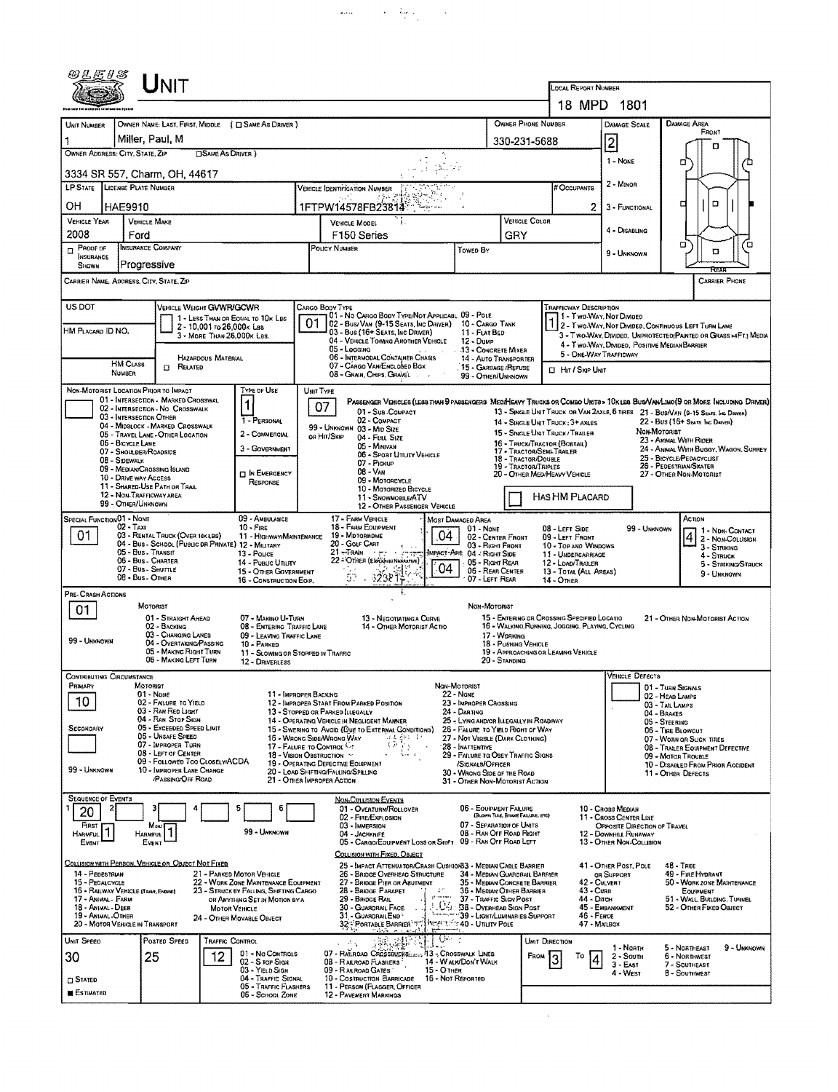| 0LE1S                                                                                                                                                                                                                                                                                                                                                                                                                                                                          |                                                                                                                                                                                                                                                                                                | <b>NIT</b>                                                                              |                                                                  |                                                     |                                                                                                                             |                                                                  |                             |                                      | LOCAL REPORT NUMBER                                                                                                    |                                                         |                                    |                                                                                                                         |   |
|--------------------------------------------------------------------------------------------------------------------------------------------------------------------------------------------------------------------------------------------------------------------------------------------------------------------------------------------------------------------------------------------------------------------------------------------------------------------------------|------------------------------------------------------------------------------------------------------------------------------------------------------------------------------------------------------------------------------------------------------------------------------------------------|-----------------------------------------------------------------------------------------|------------------------------------------------------------------|-----------------------------------------------------|-----------------------------------------------------------------------------------------------------------------------------|------------------------------------------------------------------|-----------------------------|--------------------------------------|------------------------------------------------------------------------------------------------------------------------|---------------------------------------------------------|------------------------------------|-------------------------------------------------------------------------------------------------------------------------|---|
|                                                                                                                                                                                                                                                                                                                                                                                                                                                                                |                                                                                                                                                                                                                                                                                                |                                                                                         |                                                                  |                                                     |                                                                                                                             |                                                                  |                             |                                      |                                                                                                                        | 18 MPD 1801                                             |                                    |                                                                                                                         |   |
| OWNER PHONE NUMBER<br>OWNER NAME: LAST, FIRST, MIDDLE ( C SAME AS DRIVER )<br>UNIT NUMBER                                                                                                                                                                                                                                                                                                                                                                                      |                                                                                                                                                                                                                                                                                                |                                                                                         |                                                                  |                                                     |                                                                                                                             |                                                                  |                             |                                      | DAMAGE SCALE                                                                                                           |                                                         | <b>DAMAGE AREA</b><br>FRONT        |                                                                                                                         |   |
| Miller, Paul, M<br>330-231-5688<br>OWNER ADDRESS: CITY, STATE, ZIP<br><b>CISAME AS DRIVER</b> )                                                                                                                                                                                                                                                                                                                                                                                |                                                                                                                                                                                                                                                                                                |                                                                                         |                                                                  |                                                     |                                                                                                                             |                                                                  |                             |                                      |                                                                                                                        | $\overline{2}$                                          |                                    | о                                                                                                                       |   |
|                                                                                                                                                                                                                                                                                                                                                                                                                                                                                | 1 - NONE<br>۵<br>3334 SR 557, Charm, OH, 44617                                                                                                                                                                                                                                                 |                                                                                         |                                                                  |                                                     |                                                                                                                             |                                                                  |                             |                                      |                                                                                                                        |                                                         |                                    |                                                                                                                         |   |
| LP STATE LICENSE PLATE NUMBER<br>VEHICLE IDENTIFICATION NUMBER                                                                                                                                                                                                                                                                                                                                                                                                                 |                                                                                                                                                                                                                                                                                                |                                                                                         |                                                                  |                                                     |                                                                                                                             |                                                                  |                             |                                      | # Occupants                                                                                                            | 2 - Minon                                               |                                    |                                                                                                                         |   |
| OН                                                                                                                                                                                                                                                                                                                                                                                                                                                                             | HAE9910<br>1FTPW14578FB23814                                                                                                                                                                                                                                                                   |                                                                                         |                                                                  |                                                     |                                                                                                                             |                                                                  |                             |                                      |                                                                                                                        | 3 - FUNCTIONAL                                          |                                    | D<br>о                                                                                                                  |   |
| <b>VEHICLE YEAR</b><br>2008                                                                                                                                                                                                                                                                                                                                                                                                                                                    | <b>VEHICLE MAKE</b><br>VEHICLE MODEL<br>Ford<br>F150 Series                                                                                                                                                                                                                                    |                                                                                         |                                                                  |                                                     |                                                                                                                             |                                                                  | <b>VEHICLE COLOR</b><br>GRY |                                      | 4 - DISABLING                                                                                                          |                                                         |                                    |                                                                                                                         |   |
| $\Box$ Proof of<br><b>INSURANCE</b><br><b>SHOWN</b>                                                                                                                                                                                                                                                                                                                                                                                                                            | INSURANCE COMPANY<br>Progressive                                                                                                                                                                                                                                                               |                                                                                         |                                                                  |                                                     | POLICY NUMBER                                                                                                               | Towen By                                                         |                             |                                      |                                                                                                                        | 9 - UNKNOWN                                             |                                    | O<br>O                                                                                                                  | о |
| CARRIER NAME, ADDRESS, CITY, STATE, ZIP                                                                                                                                                                                                                                                                                                                                                                                                                                        |                                                                                                                                                                                                                                                                                                |                                                                                         |                                                                  |                                                     |                                                                                                                             |                                                                  |                             |                                      |                                                                                                                        |                                                         |                                    | REAR<br><b>CARRIER PHONE</b>                                                                                            |   |
| <b>US DOT</b>                                                                                                                                                                                                                                                                                                                                                                                                                                                                  |                                                                                                                                                                                                                                                                                                | VEHICLE WEIGHT GWWR/GCWR                                                                | 1 - LESS THAN OR EQUAL TO 10K LBS                                | CARGO BODY TYPE                                     | 01 - No CARGO BODY TYPE/NOT APPLICABL 09 - POLE                                                                             |                                                                  |                             |                                      | <b>TRAFFICWAY DESCRIPTION</b>                                                                                          | 1 - Two Way, Not Divided                                |                                    |                                                                                                                         |   |
| HM PLACARD ID NO.                                                                                                                                                                                                                                                                                                                                                                                                                                                              |                                                                                                                                                                                                                                                                                                | 2 - 10,001 to 26,000x Las<br>3 - MORE THAN 26,000K LBS.                                 |                                                                  | 01                                                  | 02 - Bus/Van (9-15 Seats, Inc Driver)<br>03 - Bus (16+ Seats, Inc DRIVER)                                                   | 10 - Cargo Tank<br>11 - FLAT BED                                 |                             |                                      |                                                                                                                        |                                                         |                                    | 2 - Two-WAY, NOT DIVIDED, CONTINUOUS LEFT TURN LANE<br>3 - Two-Way, Divided, UNPROTECTED (PAINTED OR GRASS >4FT.) MEDIA |   |
|                                                                                                                                                                                                                                                                                                                                                                                                                                                                                |                                                                                                                                                                                                                                                                                                | HAZARDOUS MATERIAL                                                                      |                                                                  |                                                     | 04 - VEHICLE TOWING ANOTHER VEHICLE<br>05 - Logging<br>06 - INTERMODAL CONTAINER CHASIS                                     | 12 - Dump<br>13 - CONCRETE MIXER<br><b>14 - AUTO TRANSPORTER</b> |                             |                                      | 5 - ONE-WAY TRAFFICWAY                                                                                                 | 4 - Two-Way, Divided. Positive Median Barrier           |                                    |                                                                                                                         |   |
|                                                                                                                                                                                                                                                                                                                                                                                                                                                                                | <b>HM CLASS</b><br><b><i><u>NUMBER</u></i></b>                                                                                                                                                                                                                                                 | <b>CI RELATED</b>                                                                       |                                                                  |                                                     | 07 - CARGO VAN/ENCLOSED BOX<br>08 - GRAIN, CHIPS, GRAVEL                                                                    | 15 - GARBAGE / REFUSE<br>99 - OTHER/UNKNOWN                      |                             |                                      | CI HIT / SKIP UNIT                                                                                                     |                                                         |                                    |                                                                                                                         |   |
| NON-MOTORIST LOCATION PRIOR TO IMPACT                                                                                                                                                                                                                                                                                                                                                                                                                                          |                                                                                                                                                                                                                                                                                                | 01 - INTERSECTION - MARKED CROSSWAL                                                     | TYPE OF USE                                                      | UNIT TYPE                                           | PASSENGER VEHICLES (LESS THAN 9 PASSENGERS MEDIHEAVY TRUCKS OR COMBO UNITS > 10K LBS BUSVANLIMO(9 OR MORE INCLUDING DRIVER) |                                                                  |                             |                                      |                                                                                                                        |                                                         |                                    |                                                                                                                         |   |
|                                                                                                                                                                                                                                                                                                                                                                                                                                                                                | 03 - INTERSECTION OTHER                                                                                                                                                                                                                                                                        | 02 - INTERSECTION - NO CROSSWALK                                                        | 1<br>1 - PERSONAL                                                | 07                                                  | 01 - Sub-Compact<br>02 - COMPACT                                                                                            |                                                                  |                             |                                      | 14 - SINGLE UNIT TRUCK: 3+ AXLES                                                                                       |                                                         |                                    | 13 - SINGLE UNIT TRUCK OR VAN 2AXLE, 6 TIRES 21 - BUS/VAN (9-15 SEATS, INC DAWER)<br>22 - Bus (16+ Sears, Inc. Daiver)  |   |
|                                                                                                                                                                                                                                                                                                                                                                                                                                                                                | 06 - BICYCLE LANE                                                                                                                                                                                                                                                                              | 04 - MIDBLOCK - MARKED CROSSWALK<br>05 - TRAVEL LANE - OTHER LOCATION                   | 2 - COMMERCIAL                                                   | OR HIT/SKIP                                         | 99 - UNKNOWN 03 - MID SIZE<br>04 - Futt Size                                                                                |                                                                  |                             |                                      | 15 - SINGLE UNIT TRUCK / TRAILER                                                                                       |                                                         | NON-MOTORIST                       | 23 - ANIMAL WITH RIDER                                                                                                  |   |
|                                                                                                                                                                                                                                                                                                                                                                                                                                                                                | 07 - SHOULDER/ROADSIDE<br>08 - SIDEWALK                                                                                                                                                                                                                                                        |                                                                                         | 3 - GOVERNMENT                                                   |                                                     | 05 - MINIVAN<br>06 - SPORT UTILITY VEHICLE                                                                                  |                                                                  |                             | 18 - TRACTOR/DOUBLE                  | 16 - TRUCK/TRACTOR (BOBTAIL)<br>17 - TRACTOR/SEMI-TRAILER                                                              |                                                         |                                    | 24 - ANIMAL WITH BUGGY, WAGON, SURREY<br>25 - BICYCLE/PEDACYCLIST                                                       |   |
|                                                                                                                                                                                                                                                                                                                                                                                                                                                                                | 09 - MEDIAN/CROSSING SLAND<br>10 - Drive way Access                                                                                                                                                                                                                                            |                                                                                         | <b>DI</b> N EMERGENCY<br>RESPONSE                                |                                                     | 07 - Pickup<br>08 - VAN<br>09 - MOTORCYCLE                                                                                  |                                                                  |                             | <b>19 - TRACTOR/TRIPLES</b>          | 20 - OTHER MED/HEAVY VEHICLE                                                                                           |                                                         |                                    | 26 - PEDESTRIAN/SKATER<br>27 - OTHER NON-MOTORIST                                                                       |   |
|                                                                                                                                                                                                                                                                                                                                                                                                                                                                                | 12 - Non-Trafficway area                                                                                                                                                                                                                                                                       | 11 - SHARED-USE PATH OR TRAIL                                                           |                                                                  |                                                     | 10 - Motorized Bicycle<br>11 - SNOWMOBILE/ATV                                                                               |                                                                  |                             |                                      | HAS HM PLACARD                                                                                                         |                                                         |                                    |                                                                                                                         |   |
| 99 - OTHER/UNKNOWN<br>12 - OTHER PASSENGER VEHICLE<br><b>SPECIAL FUNCTION 01 - NONE</b><br>09 - AMBULANCE<br>17 - FARM VEHICLE<br>ACTION<br>MOST DAMAGED AREA                                                                                                                                                                                                                                                                                                                  |                                                                                                                                                                                                                                                                                                |                                                                                         |                                                                  |                                                     |                                                                                                                             |                                                                  |                             |                                      |                                                                                                                        |                                                         |                                    |                                                                                                                         |   |
| 01                                                                                                                                                                                                                                                                                                                                                                                                                                                                             | $02 - TAXI$                                                                                                                                                                                                                                                                                    | 03 - RENTAL TRUCK (OVER 10K LBS)<br>04 - Bus - School (Public DR PRIVATE) 12 - MILITARY | $10 -$ Fire<br>11 - HIGHWAY/MAINTENANCE                          |                                                     | 18 - FARM EQUIPMENT<br>04<br>19 - MOTORHOME<br>20 - Golf Cart                                                               | 01 - NONE<br>02 - CENTER FRONT                                   |                             |                                      | 08 - LEFT SIDE<br>09 - LEFT FRONT                                                                                      | 99 - UNKNOWN                                            |                                    | 1 - NDN-CONTACT<br>$\vert 4$<br>2 - Non-Collision                                                                       |   |
|                                                                                                                                                                                                                                                                                                                                                                                                                                                                                | 05 - Bus. Transit<br>06 - Bus - Charter                                                                                                                                                                                                                                                        |                                                                                         | 13 - POLICE<br>14 - Pusuc Unury                                  |                                                     | $21 -$ TRAIN $ -$<br>22 - OTHER (Einführen Nankartne)                                                                       | 03 - RIGHT FRONT<br>IMPACT ARE 04 - RIGHT SIDE                   |                             |                                      | 10 - TOP AND WINDOWS<br>11 - UNDERCARRIAGE                                                                             |                                                         |                                    | 3 - STRIKING<br>4 - Struck                                                                                              |   |
|                                                                                                                                                                                                                                                                                                                                                                                                                                                                                | 05 - Right Rear<br>12 - LOAD/TRAILER<br>5 - Striking/Struck<br>04<br>, 238年<br>07 - Bus - SHUTTLE<br>ritur.<br>06 - REAR CENTER<br>15 - OTHER GOVERNMENT<br>13 - TOTAL (ALL AREAS)<br>9 - Unknown<br>57.<br>08 - Bus - OTHER<br>07 - LEFT REAR<br>16 - CONSTRUCTION EQIP.<br><b>14 - OTHER</b> |                                                                                         |                                                                  |                                                     |                                                                                                                             |                                                                  |                             |                                      |                                                                                                                        |                                                         |                                    |                                                                                                                         |   |
| PRE- CRASH ACTIONS                                                                                                                                                                                                                                                                                                                                                                                                                                                             | MOTORIST                                                                                                                                                                                                                                                                                       |                                                                                         |                                                                  |                                                     | Ŧ.                                                                                                                          | NON-MOTORIST                                                     |                             |                                      |                                                                                                                        |                                                         |                                    |                                                                                                                         |   |
| 01                                                                                                                                                                                                                                                                                                                                                                                                                                                                             |                                                                                                                                                                                                                                                                                                | 01 - STRAIGHT AHEAD<br>02 - BACKING                                                     | 07 - MAKINO U-TURN<br>08 - ENTERING TRAFFIC LANE                 |                                                     | 13 - Negotiating a Curve<br>14 - OTHER MOTORIST ACTIO                                                                       |                                                                  |                             |                                      | 15 - ENTERING OR CROSSING SPECIFIED LOCATIO<br>16 - WALKINO, RUNNING, JOGGING, PLAYING, CYCLING                        |                                                         |                                    | 21 - OTHER NDN-MOTORIST ACTION                                                                                          |   |
| 99 - UNKNOWN                                                                                                                                                                                                                                                                                                                                                                                                                                                                   |                                                                                                                                                                                                                                                                                                | 03 - CHANGING LANES<br>04 - OVERTAKING/PASSING                                          | 09 - LEAVING TRAFFIC LANE<br>10 - PARKED                         |                                                     |                                                                                                                             |                                                                  |                             | 17 - WORKING<br>18 - PUSHING VEHICLE |                                                                                                                        |                                                         |                                    |                                                                                                                         |   |
|                                                                                                                                                                                                                                                                                                                                                                                                                                                                                |                                                                                                                                                                                                                                                                                                | 05 - MAKING RIGHT TURN<br>06 - MAKING LEFT TURN                                         | 11 - SLOWING OR STOPPED IN TRAFFIC<br>12 - DRIVERLESS            |                                                     |                                                                                                                             |                                                                  |                             | 20 - STANDING                        | 19 - APPROACHING OR LEAVING VEHICLE                                                                                    |                                                         |                                    |                                                                                                                         |   |
| CONTRIBUTING CIRCUMSTANCE<br>PRIMARY                                                                                                                                                                                                                                                                                                                                                                                                                                           | MOTORIST                                                                                                                                                                                                                                                                                       |                                                                                         |                                                                  |                                                     |                                                                                                                             | Non-Motorist                                                     |                             |                                      |                                                                                                                        | VEHICLE DEFECTS                                         | 101 - Turn Signals                 |                                                                                                                         |   |
| 10                                                                                                                                                                                                                                                                                                                                                                                                                                                                             | 01 - None                                                                                                                                                                                                                                                                                      | 02 - FAILURE TO YIELD                                                                   |                                                                  | 11 - IMPROPER BACKING                               | 12 - IMPROPER START FROM PARKED POSITION                                                                                    | 22 - None<br>23 - IMPROPER CROSSING                              |                             |                                      |                                                                                                                        |                                                         | 02 - HEAD LAMPS<br>03 - TAIL LAMPS |                                                                                                                         |   |
| SECONDARY                                                                                                                                                                                                                                                                                                                                                                                                                                                                      |                                                                                                                                                                                                                                                                                                | 03 - RAN RED LIGHT<br>04 - RAN STOP SIGN<br>05 - Exceeded Speed Limit                   |                                                                  |                                                     | 13 - STOPPED OR PARKED LLEGALLY<br>14 - OPERATING VEHICLE IN NEGLIGENT MANNER                                               | 24 - Darting<br>25 - Lying and/or Illegally in Roadway           |                             |                                      |                                                                                                                        |                                                         | 04 - BRAKES<br>05 - STEERING       |                                                                                                                         |   |
|                                                                                                                                                                                                                                                                                                                                                                                                                                                                                |                                                                                                                                                                                                                                                                                                | 06 - Unsafe Speed<br>07 - IMPROPER TURN                                                 |                                                                  | 16 - WRONG SIDE/WRONG WAY<br>17 - FALURE TO CONTROL | 15 - SWERING TO AVOID (DUE TO EXTERNAL CONDITIONS)<br>'adder tr<br>35호                                                      | 27 - NOT VISIBLE (DARK CLOTHING)<br>28 - INATTENTIVE             |                             |                                      | 26 - FALURE TO YIELD RIGHT OF WAY<br>06 - TIRE BLOWOUT<br>07 - WORN OR SLICK TIRES<br>08 - TRAILER EQUIPMENT DEFECTIVE |                                                         |                                    |                                                                                                                         |   |
|                                                                                                                                                                                                                                                                                                                                                                                                                                                                                |                                                                                                                                                                                                                                                                                                | 08 - LEFT OF CENTER<br>09 - Followed Too Closely/ACDA                                   |                                                                  | 18 - VISION OBSTRUCTION ~                           | $\mathcal{C}_{\mathbf{r}}$ , $\mathcal{A}$<br>$\mathcal{R}$<br>19 - OPERATING DEFECTIVE EQUIPMENT                           | 29 - FAILURE TO OBEY TRAFFIC SIGNS<br>/Signals/Officer           |                             |                                      |                                                                                                                        | 09 - MOTOR TROUBLE<br>10 - DISABLED FROM PRIOR ACCIDENT |                                    |                                                                                                                         |   |
|                                                                                                                                                                                                                                                                                                                                                                                                                                                                                | 99 - Unknown<br>10 - IMPROPER LANE CHANGE<br>20 - LOAD SHIFTING/FALLING/SPILLING<br>30 - Wrong Side of the Road<br>11 - OTHER DEFECTS<br>/PASSING OFF ROAD<br>21 - OTHER IMPROPER ACTION<br>31 - OTHER NON-MOTORIST ACTION                                                                     |                                                                                         |                                                                  |                                                     |                                                                                                                             |                                                                  |                             |                                      |                                                                                                                        |                                                         |                                    |                                                                                                                         |   |
| <b>SEQUENCE OF EVENTS</b><br>20                                                                                                                                                                                                                                                                                                                                                                                                                                                |                                                                                                                                                                                                                                                                                                |                                                                                         |                                                                  |                                                     | <b>NON-COLLISION EVENTS</b><br>01 - Overturn/Rollover                                                                       | 06 - EQUIPMENT FAILURE                                           |                             |                                      |                                                                                                                        | 10 - Cross Median                                       |                                    |                                                                                                                         |   |
| FIRST                                                                                                                                                                                                                                                                                                                                                                                                                                                                          |                                                                                                                                                                                                                                                                                                | Most                                                                                    |                                                                  |                                                     | 02 - FIRE/EXPLOSION<br>03 - IMMERSION                                                                                       | 07 - SEPARATION OF UNITS                                         |                             | (BLOWN TIRE, BRAKE FARURE, ETC)      |                                                                                                                        | 11 - Cross CENTER LINE<br>OPPOSITE DIRECTION OF TRAVEL  |                                    |                                                                                                                         |   |
| 99 - Umnown<br>08 - RAN OFF ROAD RIGHT<br>04 - JACKKNIFE<br>Harmful<br><b>HARMFUL</b><br>12 - DOWNHILL RUNAWAY<br>05 - CARGO/EOUIPMENT LOSS OR SHIFT 09 - RAN OFF ROAD LEFT<br>13 - OTHER NON-COLLISION<br>EVENT<br>EVENT                                                                                                                                                                                                                                                      |                                                                                                                                                                                                                                                                                                |                                                                                         |                                                                  |                                                     |                                                                                                                             |                                                                  |                             |                                      |                                                                                                                        |                                                         |                                    |                                                                                                                         |   |
|                                                                                                                                                                                                                                                                                                                                                                                                                                                                                |                                                                                                                                                                                                                                                                                                | COLLISION WITH PERSON, VEHICLE OR OBJECT NOT FIXED                                      |                                                                  |                                                     | COLLISION WITH FIXED, OBJECT<br>25 - IMPACT ATTENUATOR/CRASH CUSHIONB3 - MEDIAN CABLE BARRIER                               |                                                                  |                             |                                      |                                                                                                                        | 41 - OTHER POST, POLE                                   | $48 - T$ REE                       |                                                                                                                         |   |
| 14 - PEDESTRIAN<br>21 - PARKED MOTOR VEHICLE<br>26 - BRIDGE OVERHEAD STRUCTURE<br>34 - MEDIAN GUARDRAIL BARRIER<br>OR SUPPORT<br>49 - FIRE HYDRANT<br>22 - WORK ZONE MAINTENANCE EQUIPMENT<br>27 - BRIDGE PIER OR ABUTMENT<br>35 - MEDIAN CONCRETE BARRIER<br>50 - WORK ZONE MAINTENANCE<br>15 - PEDALCYCLE<br>42 - Culvert<br>16 - RAILWAY VEHICLE (TRAIR, ENGINE)<br>28 - BRIDGE PARAPET<br>36 - MEDIAN OTHER BARRIER<br>43 - Cuna<br>23 - STRUCK BY FALLING, SHIFTING CARGO |                                                                                                                                                                                                                                                                                                |                                                                                         |                                                                  |                                                     |                                                                                                                             |                                                                  |                             | EQUIPMENT                            |                                                                                                                        |                                                         |                                    |                                                                                                                         |   |
| 17 - ANIMAL - FARM<br>18 - Animal - Deer                                                                                                                                                                                                                                                                                                                                                                                                                                       |                                                                                                                                                                                                                                                                                                |                                                                                         | OR ANYTHING SET IN MOTION BY A<br><b>MOTOR VEHICLE</b>           |                                                     | pt macross<br>29 - BRIDGE RAIL<br>30 - GUARDRAIL FACE.                                                                      | 37 - TRAFFIC SIGN POST<br>L. D4 - 38 - Overhead Sign Post        |                             |                                      | 44 - Олсн                                                                                                              | 45 - EMBANKMENT                                         |                                    | 51 - WALL, BUILDING, TUNNEL<br>52 - Onier Fixed Oslect                                                                  |   |
| 19 - ANIMAL -OTHER<br>31 - GUARDRAILEND<br>"39 - LIGHT/LUMINARIES SUPPORT<br>46 - FENCE<br>24 - OTHER MOVABLE OBJECT<br>32 PORTABLE BARRIER "7"   1959 13 - 20 - UTAITY POLE<br>20 - MOTOR VEHICLE IN TRANSPORT<br>47 - MAILBOX                                                                                                                                                                                                                                                |                                                                                                                                                                                                                                                                                                |                                                                                         |                                                                  |                                                     |                                                                                                                             |                                                                  |                             |                                      |                                                                                                                        |                                                         |                                    |                                                                                                                         |   |
| UNIT SPEED                                                                                                                                                                                                                                                                                                                                                                                                                                                                     |                                                                                                                                                                                                                                                                                                | Posted Speed                                                                            | <b>TRAFFIC CONTROL</b><br>01 - No CONTROLS                       |                                                     | 04 F<br>透離<br>A.<br>07 - RAILROAD CROSSBUCKG  13 - CROSSWALK LINES                                                          |                                                                  |                             |                                      | UNIT DIRECTION                                                                                                         | 1 - Noath                                               |                                    | 5 - NORTHEAST<br>9 - Unknown                                                                                            |   |
| 30                                                                                                                                                                                                                                                                                                                                                                                                                                                                             | 25                                                                                                                                                                                                                                                                                             | 12                                                                                      | 02 - S rop Sign<br>03 - YIELD SIGN                               |                                                     | 08 - RAILROAD FLASHERS<br>09 - RAILROAD GATES<br>15 - O THER                                                                | 14 - WALK/DON'T WALK                                             |                             | <b>FROM</b>                          | То                                                                                                                     | $2 -$ South<br>3 - East<br>4 - West                     |                                    | 6 - NORTHWEST<br>7 - SOUTHEAST<br>8 - SOUTHWEST                                                                         |   |
| <b>C</b> STATED<br><b>ESTIMATED</b>                                                                                                                                                                                                                                                                                                                                                                                                                                            |                                                                                                                                                                                                                                                                                                |                                                                                         | 04 - TRAFFIC SIGNAL<br>05 - TRAFFIC FLASHERS<br>05 - School Zone |                                                     | 10 - Costruction Barricade<br>11 - PERSON (FLAGGER, OFFICER<br>12 - PAVEMENT MARKINGS                                       | 16 - Not Reported                                                |                             |                                      |                                                                                                                        |                                                         |                                    |                                                                                                                         |   |
|                                                                                                                                                                                                                                                                                                                                                                                                                                                                                |                                                                                                                                                                                                                                                                                                |                                                                                         |                                                                  |                                                     |                                                                                                                             |                                                                  |                             |                                      |                                                                                                                        |                                                         |                                    |                                                                                                                         |   |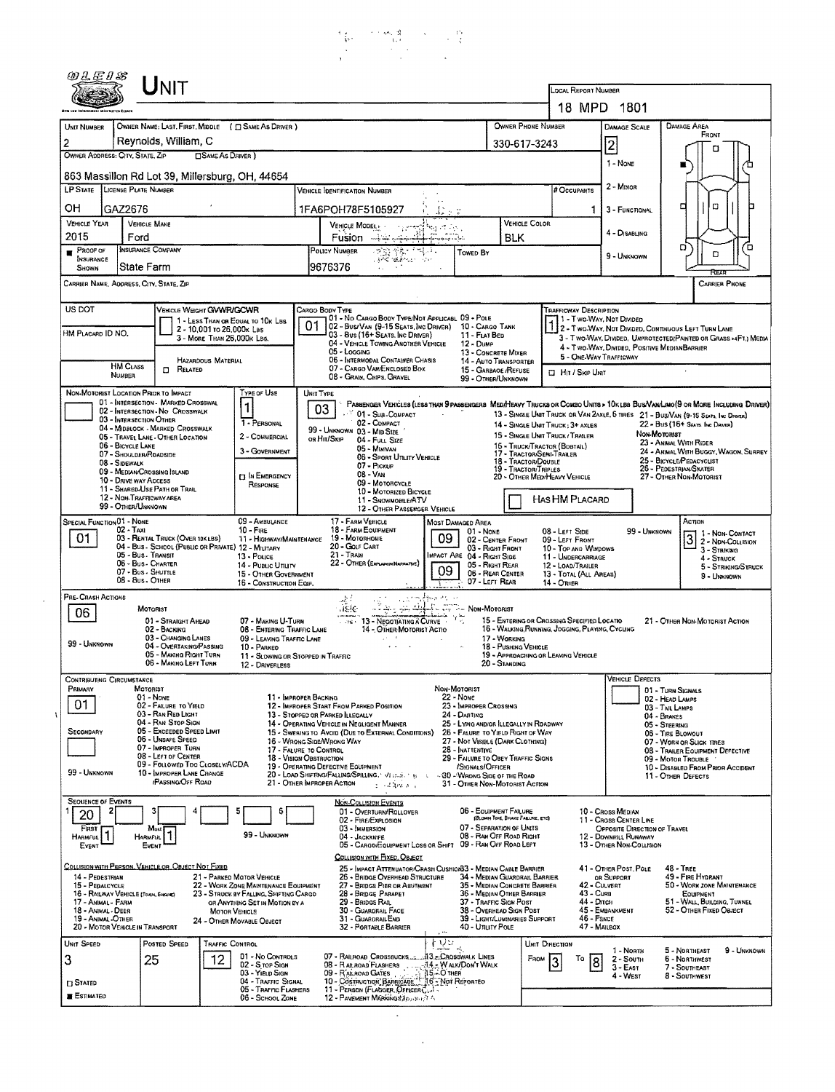

|                                                                                                                                                                                 |                                                                                                                                                                                                                                    | ${\sf UnIT}$                                                                                                                                                                                                                                         |                                                                                                                                                                                             |                                                                                                                                                                                                                                                                                                                                                                                                                                                       |                                                                                                                                                                                                                                                                                                                                                      |                                                                                                                                                                                                                                                                                          | <b>LOCAL REPORT NUMBER</b>                                                                                                                                                                                                                |                                                                                                                                  |                                                                                                                                                                                                                                                                                                                                                                                                                            |
|---------------------------------------------------------------------------------------------------------------------------------------------------------------------------------|------------------------------------------------------------------------------------------------------------------------------------------------------------------------------------------------------------------------------------|------------------------------------------------------------------------------------------------------------------------------------------------------------------------------------------------------------------------------------------------------|---------------------------------------------------------------------------------------------------------------------------------------------------------------------------------------------|-------------------------------------------------------------------------------------------------------------------------------------------------------------------------------------------------------------------------------------------------------------------------------------------------------------------------------------------------------------------------------------------------------------------------------------------------------|------------------------------------------------------------------------------------------------------------------------------------------------------------------------------------------------------------------------------------------------------------------------------------------------------------------------------------------------------|------------------------------------------------------------------------------------------------------------------------------------------------------------------------------------------------------------------------------------------------------------------------------------------|-------------------------------------------------------------------------------------------------------------------------------------------------------------------------------------------------------------------------------------------|----------------------------------------------------------------------------------------------------------------------------------|----------------------------------------------------------------------------------------------------------------------------------------------------------------------------------------------------------------------------------------------------------------------------------------------------------------------------------------------------------------------------------------------------------------------------|
|                                                                                                                                                                                 |                                                                                                                                                                                                                                    |                                                                                                                                                                                                                                                      |                                                                                                                                                                                             |                                                                                                                                                                                                                                                                                                                                                                                                                                                       |                                                                                                                                                                                                                                                                                                                                                      |                                                                                                                                                                                                                                                                                          |                                                                                                                                                                                                                                           | 18 MPD 1801                                                                                                                      |                                                                                                                                                                                                                                                                                                                                                                                                                            |
| UNIT NUMBER<br>$\overline{c}$<br>OWNER ADDRESS: CITY, STATE, ZIP                                                                                                                |                                                                                                                                                                                                                                    | OWNER NAME: LAST, FIRST, MIDDLE ( C SAME AS DRIVER )<br>Reynolds, William, C<br><b>CISAME AS DRIVER</b> )                                                                                                                                            |                                                                                                                                                                                             |                                                                                                                                                                                                                                                                                                                                                                                                                                                       |                                                                                                                                                                                                                                                                                                                                                      |                                                                                                                                                                                                                                                                                          | OWNER PHONE NUMBER<br>330-617-3243                                                                                                                                                                                                        | <b>DAMAGE SCALE</b><br>$\overline{2}$                                                                                            | <b>DAMAGE AREA</b><br>FRONT<br>o                                                                                                                                                                                                                                                                                                                                                                                           |
|                                                                                                                                                                                 |                                                                                                                                                                                                                                    |                                                                                                                                                                                                                                                      |                                                                                                                                                                                             |                                                                                                                                                                                                                                                                                                                                                                                                                                                       |                                                                                                                                                                                                                                                                                                                                                      |                                                                                                                                                                                                                                                                                          |                                                                                                                                                                                                                                           | 1 - NONE                                                                                                                         |                                                                                                                                                                                                                                                                                                                                                                                                                            |
| LP STATE LICENSE PLATE NUMBER                                                                                                                                                   |                                                                                                                                                                                                                                    | 863 Massillon Rd Lot 39, Millersburg, OH, 44654                                                                                                                                                                                                      |                                                                                                                                                                                             | <b>VEHICLE IDENTIFICATION NUMBER</b>                                                                                                                                                                                                                                                                                                                                                                                                                  |                                                                                                                                                                                                                                                                                                                                                      |                                                                                                                                                                                                                                                                                          | # Occupants                                                                                                                                                                                                                               | 2 - Minor                                                                                                                        |                                                                                                                                                                                                                                                                                                                                                                                                                            |
| он                                                                                                                                                                              | GAZ2676                                                                                                                                                                                                                            |                                                                                                                                                                                                                                                      |                                                                                                                                                                                             | 1FA6POH78F5105927                                                                                                                                                                                                                                                                                                                                                                                                                                     |                                                                                                                                                                                                                                                                                                                                                      |                                                                                                                                                                                                                                                                                          |                                                                                                                                                                                                                                           | 3 - FUNCTIONAL                                                                                                                   | O<br>□                                                                                                                                                                                                                                                                                                                                                                                                                     |
| <b>VEHICLE YEAR</b>                                                                                                                                                             | <b>VEHICLE MAKE</b>                                                                                                                                                                                                                |                                                                                                                                                                                                                                                      |                                                                                                                                                                                             | VEHICLE MODEL                                                                                                                                                                                                                                                                                                                                                                                                                                         | hay et ligi                                                                                                                                                                                                                                                                                                                                          |                                                                                                                                                                                                                                                                                          | VEHICLE COLOR                                                                                                                                                                                                                             |                                                                                                                                  |                                                                                                                                                                                                                                                                                                                                                                                                                            |
| 2015                                                                                                                                                                            | Ford                                                                                                                                                                                                                               |                                                                                                                                                                                                                                                      |                                                                                                                                                                                             | Fusion                                                                                                                                                                                                                                                                                                                                                                                                                                                | 뗴                                                                                                                                                                                                                                                                                                                                                    | <b>BLK</b>                                                                                                                                                                                                                                                                               |                                                                                                                                                                                                                                           | 4 - DISABLING                                                                                                                    | ο                                                                                                                                                                                                                                                                                                                                                                                                                          |
| PROOF OF<br><b>INSURANCE</b>                                                                                                                                                    | <b>INSURANCE COMPANY</b>                                                                                                                                                                                                           |                                                                                                                                                                                                                                                      |                                                                                                                                                                                             | POLICY NUMBER<br><b>鸡弥告</b><br>医新胶 地名德国卡尔科                                                                                                                                                                                                                                                                                                                                                                                                            |                                                                                                                                                                                                                                                                                                                                                      | Towed By                                                                                                                                                                                                                                                                                 |                                                                                                                                                                                                                                           | 9 - Unknown                                                                                                                      | D                                                                                                                                                                                                                                                                                                                                                                                                                          |
| SHOWN<br>CARRIER NAME, ADDRESS, CITY, STATE, ZIP                                                                                                                                | State Farm                                                                                                                                                                                                                         |                                                                                                                                                                                                                                                      |                                                                                                                                                                                             | 9676376                                                                                                                                                                                                                                                                                                                                                                                                                                               |                                                                                                                                                                                                                                                                                                                                                      |                                                                                                                                                                                                                                                                                          |                                                                                                                                                                                                                                           |                                                                                                                                  | <b>CARRIER PHONE</b>                                                                                                                                                                                                                                                                                                                                                                                                       |
|                                                                                                                                                                                 |                                                                                                                                                                                                                                    |                                                                                                                                                                                                                                                      |                                                                                                                                                                                             |                                                                                                                                                                                                                                                                                                                                                                                                                                                       |                                                                                                                                                                                                                                                                                                                                                      |                                                                                                                                                                                                                                                                                          |                                                                                                                                                                                                                                           |                                                                                                                                  |                                                                                                                                                                                                                                                                                                                                                                                                                            |
| US DOT<br>HM PLACARD ID NO.                                                                                                                                                     |                                                                                                                                                                                                                                    | VEHICLE WEIGHT GWWR/GCWR<br>2 - 10,001 to 26,000x Las<br>3 - MORE THAN 26,000K LBS.                                                                                                                                                                  | 1 - LESS THAN OR EQUAL TO 10K LBS                                                                                                                                                           | CARGO BODY TYPE<br>01 - No CARGO BODY TYPE/NOT APPLICABL 09 - POLE<br>01<br>02 - Busi Van (9-15 Seats, Inc Driver) 10 - Cargo Tank<br>03 - Bus (16+ SEATS, INC DRIVER)                                                                                                                                                                                                                                                                                |                                                                                                                                                                                                                                                                                                                                                      | 11 - FLAT BED                                                                                                                                                                                                                                                                            | <b>TRAFFICWAY DESCRIPTION</b>                                                                                                                                                                                                             | 1 - T WO-WAY, NOT DIVIDED                                                                                                        | 2 - Two Way, NOT DIVIDED, CONTINUOUS LEFT TURN LANE<br>3 - Two-Way, Divided, Ungrotected Painted or Grass >4Ft.) Media                                                                                                                                                                                                                                                                                                     |
|                                                                                                                                                                                 | <b>HM CLASS</b>                                                                                                                                                                                                                    | HAZARDOUS MATERIAL<br><b>CO</b> RELATED                                                                                                                                                                                                              |                                                                                                                                                                                             | 04 - VEHICLE TOWING ANOTHER VEHICLE<br>05 - Logging<br>06 - INTERMODAL CONTAINER CHASIS<br>07 - CARGO VAN/ENCLOSED BOX                                                                                                                                                                                                                                                                                                                                |                                                                                                                                                                                                                                                                                                                                                      | 12 - Dump<br>13 - CONCRETE MIXER<br>14 - AUTO TRANSPORTER<br>15 - GARBAOE / REFUSE                                                                                                                                                                                                       | <b>D</b> Hit / Skip Unit                                                                                                                                                                                                                  | 4 - TWO-WAY, DIVIDED, POSITIVE MEDIANBARRIER<br>5 - ONE-WAY TRAFFICWAY                                                           |                                                                                                                                                                                                                                                                                                                                                                                                                            |
| NON-MOTORIST LOCATION PRIOR TO IMPACT                                                                                                                                           | NUMBER                                                                                                                                                                                                                             |                                                                                                                                                                                                                                                      | TYPE OF USE                                                                                                                                                                                 | 08 - GRAIN, CHIPS, GRAVEL<br>UNIT TYPE                                                                                                                                                                                                                                                                                                                                                                                                                |                                                                                                                                                                                                                                                                                                                                                      | 99 - OTHER/UNKNOWN                                                                                                                                                                                                                                                                       |                                                                                                                                                                                                                                           |                                                                                                                                  |                                                                                                                                                                                                                                                                                                                                                                                                                            |
|                                                                                                                                                                                 | 03 - INTERSECTION OTHER<br>06 - BICYCLE LANE<br>07 - Shoulder/Roadside<br>08 - Sidewalk<br>09 - MEDIAN/CROSSING ISLAND<br>10 - DRIVE WAY ACCESS<br>11 - SHARED-USE PATH OR TRAIL<br>12 - NON-TRAFFICWAY AREA<br>99 - OTHER/UNKNOWN | 01 - INTERSECTION - MARKED CROSSWAL<br>02 - INTERSECTION - NO CROSSWALK<br>04 - MIDBLOCK - MARKED CROSSWALK<br>05 - TRAVEL LANE - OTHER LOCATION                                                                                                     | 1<br>1 - PERSONAL<br>2 - COMMERCIAL<br>3 - GOVERNMENT<br><b>DIN EMERGENCY</b><br>RESPONSE                                                                                                   | 03<br>$\cdot$ 01 - Sus-Compact<br>02 - COMPACT<br>99 - UNKNOWN 03 - MID SIZE<br>ов Hit/Skip<br>04 - FULL SIZE<br>05 - MINIVAN<br>06 - Sport Utruty Vehicle<br>07 - Pickup<br>08 - VAN<br>09 - MOTORCYCLE<br>10 - MOTORIZED BICYCLE<br>11 - SNOWMOBILE/ATV<br>12 - OTHER PASSENGER VEHICLE                                                                                                                                                             |                                                                                                                                                                                                                                                                                                                                                      |                                                                                                                                                                                                                                                                                          | 14 - SINGLE UNIT TRUCK: 3+ AXLES<br>15 - SINGLE UNIT TRUCK / TRAILER<br>16 - TRUCK/TRACTOR (BOBTAIL)<br>17 - TRACTOR/SEMI-TRAILER<br>18 - TRACTOR/DOUBLE<br><b>19 - TRACTOR/TRIPLES</b><br>20 - OTHER MEDIHEAVY VEHICLE<br>HAS HM PLACARD |                                                                                                                                  | PASSENGER VEHICLES (LESS THAN 9 PASSENGERS MEDIMEANY TRUCKS OR COMBO UNITS > 10K LBS BUS/VANLINO (9 OR MORE INCLUDING DRIVER)<br>13 - SINGLE UNIT TRUCK OR VAN ZAXLE, 6 TIRES 21 - BUSIVAN (9-15 SEATS, INC DRIVER)<br>22 - BUS (16+ SEATS, INC DRAWER)<br>Non-Mororest<br>23 - ANIMAL WITH RIDER<br>24 - ANIMAL WITH BUGGY, WAGON, SURREY<br>25 - BICYCLE/PEDACYCUST<br>26 - PEDESTRIAN/SKATER<br>27 - OTHER NON-MOTORIST |
| 01<br>PRE-CRASH ACTIONS<br>06                                                                                                                                                   | 05 - Bus - Transit<br>06 - Bus - Charter<br>07 - Bus - SHUTTLE<br>08 - Bus - OTHER<br>MOTORIST                                                                                                                                     | 03 - RENTAL TRUCK (OVER 10KLBS)<br>04 - Bus - School (Public or Private) 12 - Military<br>01 - STRAIGHT AHEAD                                                                                                                                        | 11 - HIGHWAY/MAINTENANCE<br>13 - Pouce<br>14 - Pueuc Unury<br>15 - OTHER GOVERNMENT<br>16 - CONSTRUCTION EQP.<br>07 - MAKING U-TURN                                                         | 19 - Motorhome<br>20 - Colf Cart<br>21 - Train<br>22 - OTHER (EXPLANDI NARPATIVE)<br>کو ایلی بر<br>تاریخچه بر<br><b>ASIC</b><br>$ -$ 13 - Negotiativo A Curve                                                                                                                                                                                                                                                                                         | 09<br>09<br>u principale de<br>$\frac{1}{2}$ . $\frac{1}{2}$ $\frac{1}{2}$ $\frac{1}{2}$ $\frac{1}{2}$ $\frac{1}{2}$ $\frac{1}{2}$ $\frac{1}{2}$ $\frac{1}{2}$ $\frac{1}{2}$ $\frac{1}{2}$ $\frac{1}{2}$ $\frac{1}{2}$ $\frac{1}{2}$ $\frac{1}{2}$ $\frac{1}{2}$ $\frac{1}{2}$ $\frac{1}{2}$ $\frac{1}{2}$ $\frac{1}{2}$ $\frac{1}{2}$ $\frac{1}{2}$ | 02 - CENTER FRONT<br>03 - RIGHT FRONT<br>MPACT ARE 04 - RIGHT SIDE<br>05 - RIGHT REAR<br>06 - REAR CENTER<br>07 - LEFT REAR                                                                                                                                                              | 09 - LEFT FRONT<br>10 - TOP AND WINDOWS<br>11 - UNDERCARRIAGE<br>12 - LOAD/TRAILER<br>13 - TOTAL (ALL AREAS)<br>14 - Omer<br>15 - ENTERING OR CROSSING SPECIFIED LOCATIO                                                                  |                                                                                                                                  | $\overline{3}$<br>2 - NON-COLLISION<br>3 - STRIKING<br>4 - STRUCK<br>5 - STRIKING/STRUCK<br>9 - UNKNOWN<br>21 - OTHER NON-MOTORIST ACTION                                                                                                                                                                                                                                                                                  |
| 99 - UNKNOWN                                                                                                                                                                    |                                                                                                                                                                                                                                    | 02 - BACKING<br>03 - CHANGING LANES<br>04 - OVERTAKING/PASSING<br>05 - MAKING RIGHT TURN<br>06 - MAKING LEFT TURN                                                                                                                                    | 08 - ENTERING TRAFFIC LANE<br>09 - LEAVING TRAFFIC LANE<br>10 - PARKED<br>12 - DRIVERLESS                                                                                                   | 14 - OTHER MOTORIST ACTIO<br>11 - SLOWING OR STOPPED IN TRAFFIC                                                                                                                                                                                                                                                                                                                                                                                       |                                                                                                                                                                                                                                                                                                                                                      | 17 - WORKING<br>18 - Pushing Vehicle<br>20 - STANDING                                                                                                                                                                                                                                    | 16 - WALKING RUNNING, JOGGING, PLAYING, CYCLING<br>19 - APPROACHING OR LEAVING VEHICLE                                                                                                                                                    |                                                                                                                                  |                                                                                                                                                                                                                                                                                                                                                                                                                            |
| <b>CONTRIBUTING CIRCUMSTANCE</b><br>PRIMARY<br>-01<br>SECONDARY<br>99 - UNKNOWN                                                                                                 | MOTORIST<br>01 - None                                                                                                                                                                                                              | 02 - FAILURE TO YIELD<br>03 - RAN RED LIGHT<br>04 - RAN STOP SIGN<br>05 - Exceeped Speed LIMIT<br>06 - UNSAFE SPEED<br>07 - IMPROPER TURN<br>08 - LEFT OF CENTER<br>09 - Followep Too Closelv/ACDA<br>10 - IMPROPER LANE CHANGE<br>(PASSING/OFF ROAD |                                                                                                                                                                                             | 11 - IMPROPER BACKING<br>12 - IMPROPER START FROM PARKED POSITION<br>13 - STOPPED OR PARKED ILLEGALLY<br>14 - OPERATING VEHICLE IN NEGLIGENT MANNER<br>15 - Swering to Avoid (Due to External Conditions)<br>16 - WRONG SIDE/WRONG WAY<br>17 - FALURE TO CONTROL<br><b>18 - VISION OBSTRUCTION</b><br>19 - OPERATING DEFECTIVE EQUIPMENT<br>20 - LOAD SHIFTING/FALLING/SPILLING. VI ::: 3. Year of the<br>21 - Отнев Імряарев Астюн<br>ા પાસેઓ પ્રાપ્ | NON-MOTORIST<br>$22 - None$<br>24 - DARTING                                                                                                                                                                                                                                                                                                          | 23 - IMPROPER CROSSING<br>25 - LYING AND/OR LLEGALLY IN ROADWAY<br>26 - FALURE TO YIELD RIGHT OF WAY<br>27 - NOT VISIBLE (DARK CLOTHING)<br>28 - INATTENTIVE<br>29 - FAILURE TO OBEY TRAFFIC SIGNS<br>/SIGNALS/OFFICER<br>-30 - WRONG SIDE OF THE ROAD<br>31 - OTHER NON-MOTORIST ACTION |                                                                                                                                                                                                                                           | <b>VEHICLE DEFECTS</b>                                                                                                           | 01 - TURN SIGNALS<br>02 - HEAD LAMPS<br><b>D3 - TAIL LAMPS</b><br>04 - BRAKES<br>05 - STEERING<br>06 - TIRE BLOWOUT<br>07 - WORN OR SLICK TIRES<br>08 - TRAILER EQUIPMENT DEFECTIVE<br>09 - MOTOR TROUBLE<br>10 - DISABLED FROM PRIOR ACCIDENT<br><b>11 - OTHER DEFECTS</b>                                                                                                                                                |
| <b>SEQUENCE OF EVENTS</b><br>20<br>FIRST<br><b>HARMFUL</b><br>EVENT                                                                                                             | Mast<br>HARMFUL <sup>1</sup><br>EVENT                                                                                                                                                                                              |                                                                                                                                                                                                                                                      | 5<br>99 - UNKNOWN                                                                                                                                                                           | NON-COLLISION EVENTS<br>01 - OVERTURN/ROLLOVER<br>02 - FIRE/EXPLOSION<br>03 - IMMERSION<br>04 - JACKKNIFE<br>05 - CARGO/EQUIPMENT LOSS OR SHIFT 09 - RAN OFF ROAD LEFT<br>COLLISION WITH EIXED, OBJECT                                                                                                                                                                                                                                                |                                                                                                                                                                                                                                                                                                                                                      | 06 - EQUIPMENT FAILURE<br>(BLOWN TIME, BRAKE FAILURE, ETC)<br>07 - SEPARATION OF UNITS<br>08 - RAN OFF ROAD RIGHT                                                                                                                                                                        |                                                                                                                                                                                                                                           | 10 - Cross Median<br>11 - Cross CENTER LINE<br>OPPOSITE DIRECTION OF TRAVEL<br>12 - DOWNFILL RUNAWAY<br>13 - OTHER NON-COLLISION |                                                                                                                                                                                                                                                                                                                                                                                                                            |
| 14 - PEDESTRIAN<br>15 - PEDALCYCLE<br>16 - RAILWAY VEHICLE (TRAIN, ENGINE)<br>17 - ANIMAL - FARM<br>18 - ANIMAL - DEER<br>19 - Animal -Other<br>20 - MOTOR VEHICLE IN TRANSPORT |                                                                                                                                                                                                                                    | COLLISION WITH PERSON, VEHICLE OR OBJECT NOT FIXED                                                                                                                                                                                                   | 21 - PARKED MOTOR VEHICLE<br>22 - WORK ZONE MAINTENANCE EQUIPMENT<br>23 - STRUCK BY FALLING, SHIFTING CARGO<br>OR ANYTHING SET IN MOTION BY A<br>MOTOR VEHICLE<br>24 - OTHER MOVABLE OBJECT | 25 - IMPACT ATTENUATOR/CRASH CUSHIONS3 - MEDIAN CABLE BARRIER<br>26 - BRIDGE OVERHEAD STRUCTURE<br>27 - BRIDGE PIER OR ABUTMENT<br>28 - BRIDGE PARAPET<br>29 - Bridge Rail<br>30 - GUARDRAIL FACE<br>31 - GUARDRAILEND<br>32 - PORTABLE BARRIER                                                                                                                                                                                                       |                                                                                                                                                                                                                                                                                                                                                      | 34 - Median Guardrail Barrier<br>35 - MEDIAN CONCRETE BARRIER<br>36 - MEDIAN OTHER BARRIER<br>37 - TRAFFIC SIGN POST<br>38 - Overhead Sign Post<br>39 - LIGHT/LUMINARIES SUPPORT<br>40 - UTILITY POLE                                                                                    |                                                                                                                                                                                                                                           | 41 - OTHER POST, POLE<br>OR SUPPORT<br>42 - CULVERT<br>43 - Cura<br>44 - Опси<br>45 - EMBANKMENT<br>46 - FSNCE<br>47 - MAILBOX   | 48 - TREE<br>49 - FIRE HYDRANT<br>50 - WORK ZONE MAINTENANCE<br>EQUIPMENT<br>51 - WALL, BUILDING, TUNNEL<br>52 - OTHER FIXED OBJECT                                                                                                                                                                                                                                                                                        |
| UNIT SPEED<br>3                                                                                                                                                                 | 25                                                                                                                                                                                                                                 | POSTED SPEED<br>TRAFFIC CONTROL<br>12.                                                                                                                                                                                                               | 01 - No CONTROLS<br>02 - S rop Ston                                                                                                                                                         | 07 - RAILROAD CROSSBUCKS 13 - CROSSWALK LINES<br>08 - Railroad Flashers  14. WALK/DON'T WALK                                                                                                                                                                                                                                                                                                                                                          | 125.                                                                                                                                                                                                                                                                                                                                                 |                                                                                                                                                                                                                                                                                          | UNIT DIRECTION<br>FROM<br>То<br>3                                                                                                                                                                                                         | 1 - North<br>$\overline{8}$<br>2 - South                                                                                         | 9 - UNKNOWN<br>5 - Northeast<br>6 - NORTHWEST                                                                                                                                                                                                                                                                                                                                                                              |